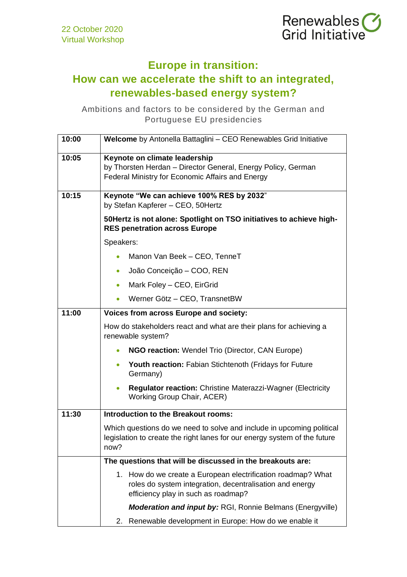

## **Europe in transition:**

## **How can we accelerate the shift to an integrated, renewables-based energy system?**

Ambitions and factors to be considered by the German and Portuguese EU presidencies

| 10:00 | Welcome by Antonella Battaglini - CEO Renewables Grid Initiative                                                                                                |
|-------|-----------------------------------------------------------------------------------------------------------------------------------------------------------------|
| 10:05 | Keynote on climate leadership<br>by Thorsten Herdan - Director General, Energy Policy, German<br>Federal Ministry for Economic Affairs and Energy               |
| 10:15 | Keynote "We can achieve 100% RES by 2032"<br>by Stefan Kapferer - CEO, 50Hertz                                                                                  |
|       | 50 Hertz is not alone: Spotlight on TSO initiatives to achieve high-<br><b>RES penetration across Europe</b>                                                    |
|       | Speakers:                                                                                                                                                       |
|       | Manon Van Beek - CEO, TenneT<br>$\bullet$                                                                                                                       |
|       | João Conceição - COO, REN<br>$\bullet$                                                                                                                          |
|       | Mark Foley - CEO, EirGrid<br>$\bullet$                                                                                                                          |
|       | Werner Götz - CEO, TransnetBW<br>$\bullet$                                                                                                                      |
| 11:00 | Voices from across Europe and society:                                                                                                                          |
|       | How do stakeholders react and what are their plans for achieving a<br>renewable system?                                                                         |
|       | NGO reaction: Wendel Trio (Director, CAN Europe)                                                                                                                |
|       | Youth reaction: Fabian Stichtenoth (Fridays for Future<br>$\bullet$<br>Germany)                                                                                 |
|       | <b>Regulator reaction: Christine Materazzi-Wagner (Electricity</b><br>Working Group Chair, ACER)                                                                |
| 11:30 | <b>Introduction to the Breakout rooms:</b>                                                                                                                      |
|       | Which questions do we need to solve and include in upcoming political<br>legislation to create the right lanes for our energy system of the future<br>now?      |
|       | The questions that will be discussed in the breakouts are:                                                                                                      |
|       | 1. How do we create a European electrification roadmap? What<br>roles do system integration, decentralisation and energy<br>efficiency play in such as roadmap? |
|       | <b>Moderation and input by: RGI, Ronnie Belmans (Energyville)</b>                                                                                               |
|       | Renewable development in Europe: How do we enable it<br>2.                                                                                                      |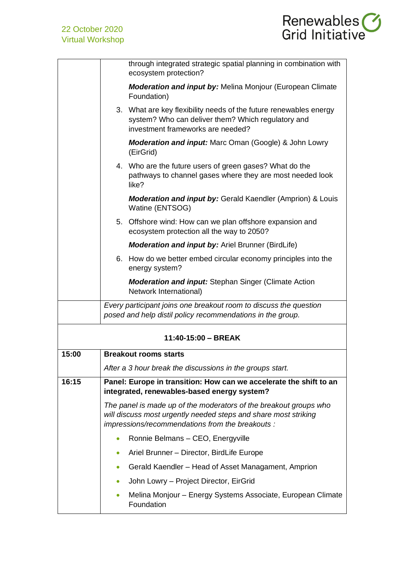

|       | through integrated strategic spatial planning in combination with<br>ecosystem protection?                                                                                              |
|-------|-----------------------------------------------------------------------------------------------------------------------------------------------------------------------------------------|
|       | <b>Moderation and input by:</b> Melina Monjour (European Climate<br>Foundation)                                                                                                         |
|       | 3. What are key flexibility needs of the future renewables energy<br>system? Who can deliver them? Which regulatory and<br>investment frameworks are needed?                            |
|       | <b>Moderation and input:</b> Marc Oman (Google) & John Lowry<br>(EirGrid)                                                                                                               |
|       | 4. Who are the future users of green gases? What do the<br>pathways to channel gases where they are most needed look<br>like?                                                           |
|       | <b>Moderation and input by: Gerald Kaendler (Amprion) &amp; Louis</b><br>Watine (ENTSOG)                                                                                                |
|       | 5. Offshore wind: How can we plan offshore expansion and<br>ecosystem protection all the way to 2050?                                                                                   |
|       | <b>Moderation and input by: Ariel Brunner (BirdLife)</b>                                                                                                                                |
|       | 6. How do we better embed circular economy principles into the<br>energy system?                                                                                                        |
|       | <b>Moderation and input:</b> Stephan Singer (Climate Action<br>Network International)                                                                                                   |
|       | Every participant joins one breakout room to discuss the question<br>posed and help distil policy recommendations in the group.                                                         |
|       | 11:40-15:00 - BREAK                                                                                                                                                                     |
| 15:00 | <b>Breakout rooms starts</b>                                                                                                                                                            |
|       | After a 3 hour break the discussions in the groups start.                                                                                                                               |
| 16:15 | Panel: Europe in transition: How can we accelerate the shift to an<br>integrated, renewables-based energy system?                                                                       |
|       | The panel is made up of the moderators of the breakout groups who<br>will discuss most urgently needed steps and share most striking<br>impressions/recommendations from the breakouts: |
|       | Ronnie Belmans - CEO, Energyville<br>$\bullet$                                                                                                                                          |
|       | Ariel Brunner - Director, BirdLife Europe                                                                                                                                               |
|       | Gerald Kaendler – Head of Asset Managament, Amprion                                                                                                                                     |
|       | John Lowry - Project Director, EirGrid                                                                                                                                                  |
|       | Melina Monjour - Energy Systems Associate, European Climate<br>$\bullet$<br>Foundation                                                                                                  |